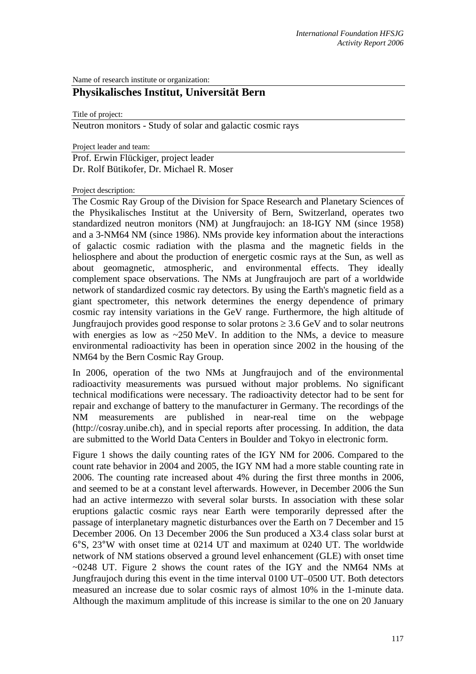Name of research institute or organization:

## **Physikalisches Institut, Universität Bern**

Title of project:

Neutron monitors - Study of solar and galactic cosmic rays

Project leader and team:

Prof. Erwin Flückiger, project leader Dr. Rolf Bütikofer, Dr. Michael R. Moser

Project description:

The Cosmic Ray Group of the Division for Space Research and Planetary Sciences of the Physikalisches Institut at the University of Bern, Switzerland, operates two standardized neutron monitors (NM) at Jungfraujoch: an 18-IGY NM (since 1958) and a 3-NM64 NM (since 1986). NMs provide key information about the interactions of galactic cosmic radiation with the plasma and the magnetic fields in the heliosphere and about the production of energetic cosmic rays at the Sun, as well as about geomagnetic, atmospheric, and environmental effects. They ideally complement space observations. The NMs at Jungfraujoch are part of a worldwide network of standardized cosmic ray detectors. By using the Earth's magnetic field as a giant spectrometer, this network determines the energy dependence of primary cosmic ray intensity variations in the GeV range. Furthermore, the high altitude of Jungfraujoch provides good response to solar protons  $\geq 3.6$  GeV and to solar neutrons with energies as low as  $\sim$ 250 MeV. In addition to the NMs, a device to measure environmental radioactivity has been in operation since 2002 in the housing of the NM64 by the Bern Cosmic Ray Group.

In 2006, operation of the two NMs at Jungfraujoch and of the environmental radioactivity measurements was pursued without major problems. No significant technical modifications were necessary. The radioactivity detector had to be sent for repair and exchange of battery to the manufacturer in Germany. The recordings of the NM measurements are published in near-real time on the webpage (http://cosray.unibe.ch), and in special reports after processing. In addition, the data are submitted to the World Data Centers in Boulder and Tokyo in electronic form.

Figure 1 shows the daily counting rates of the IGY NM for 2006. Compared to the count rate behavior in 2004 and 2005, the IGY NM had a more stable counting rate in 2006. The counting rate increased about 4% during the first three months in 2006, and seemed to be at a constant level afterwards. However, in December 2006 the Sun had an active intermezzo with several solar bursts. In association with these solar eruptions galactic cosmic rays near Earth were temporarily depressed after the passage of interplanetary magnetic disturbances over the Earth on 7 December and 15 December 2006. On 13 December 2006 the Sun produced a X3.4 class solar burst at 6°S, 23°W with onset time at 0214 UT and maximum at 0240 UT. The worldwide network of NM stations observed a ground level enhancement (GLE) with onset time ~0248 UT. Figure 2 shows the count rates of the IGY and the NM64 NMs at Jungfraujoch during this event in the time interval 0100 UT–0500 UT. Both detectors measured an increase due to solar cosmic rays of almost 10% in the 1-minute data. Although the maximum amplitude of this increase is similar to the one on 20 January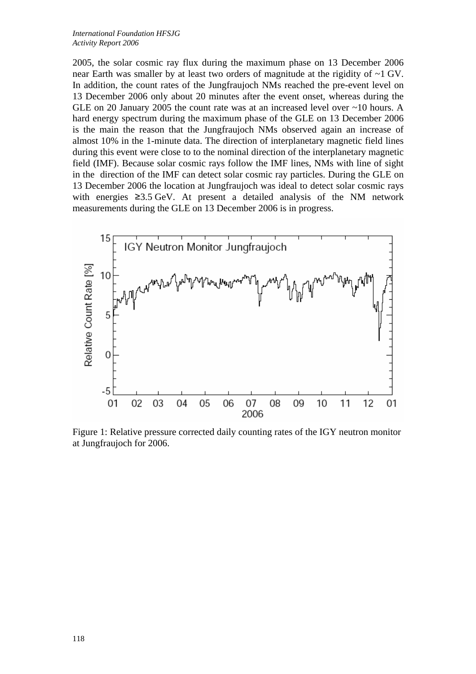2005, the solar cosmic ray flux during the maximum phase on 13 December 2006 near Earth was smaller by at least two orders of magnitude at the rigidity of ~1 GV. In addition, the count rates of the Jungfraujoch NMs reached the pre-event level on 13 December 2006 only about 20 minutes after the event onset, whereas during the GLE on 20 January 2005 the count rate was at an increased level over ~10 hours. A hard energy spectrum during the maximum phase of the GLE on 13 December 2006 is the main the reason that the Jungfraujoch NMs observed again an increase of almost 10% in the 1-minute data. The direction of interplanetary magnetic field lines during this event were close to to the nominal direction of the interplanetary magnetic field (IMF). Because solar cosmic rays follow the IMF lines, NMs with line of sight in the direction of the IMF can detect solar cosmic ray particles. During the GLE on 13 December 2006 the location at Jungfraujoch was ideal to detect solar cosmic rays with energies ≥3.5 GeV. At present a detailed analysis of the NM network measurements during the GLE on 13 December 2006 is in progress.



Figure 1: Relative pressure corrected daily counting rates of the IGY neutron monitor at Jungfraujoch for 2006.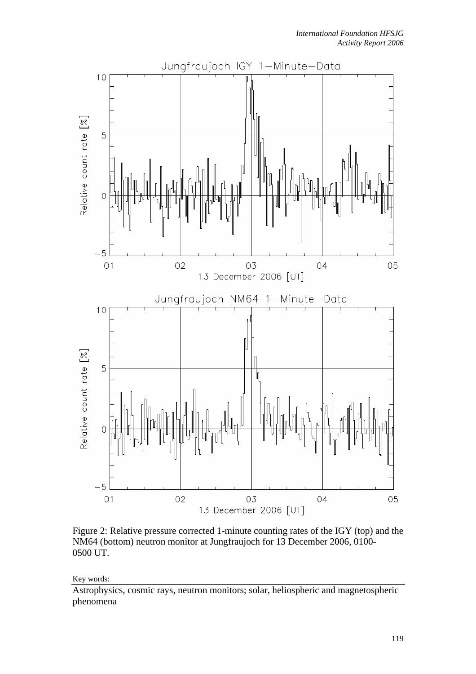

Figure 2: Relative pressure corrected 1-minute counting rates of the IGY (top) and the NM64 (bottom) neutron monitor at Jungfraujoch for 13 December 2006, 0100- 0500 UT.

Key words:

Astrophysics, cosmic rays, neutron monitors; solar, heliospheric and magnetospheric phenomena